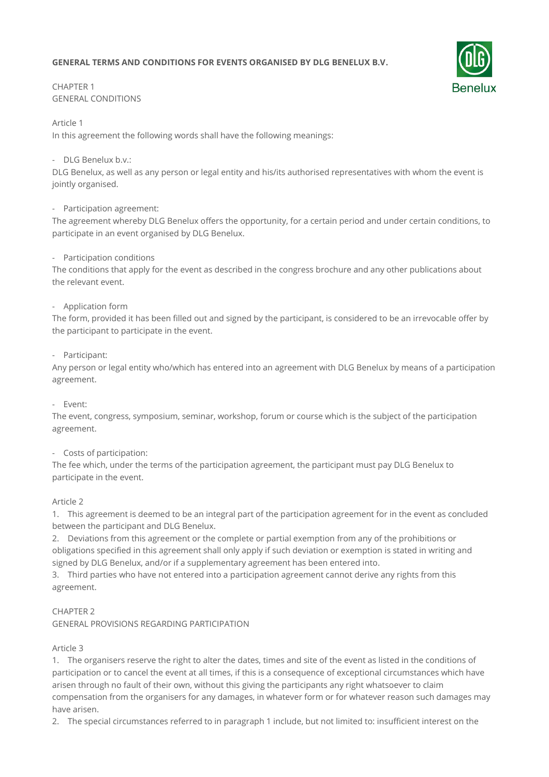# **GENERAL TERMS AND CONDITIONS FOR EVENTS ORGANISED BY DLG BENELUX B.V.**



# CHAPTER 1 GENERAL CONDITIONS

Article 1

In this agreement the following words shall have the following meanings:

### - DLG Benelux b.v.:

DLG Benelux, as well as any person or legal entity and his/its authorised representatives with whom the event is jointly organised.

- Participation agreement:

The agreement whereby DLG Benelux offers the opportunity, for a certain period and under certain conditions, to participate in an event organised by DLG Benelux.

# - Participation conditions

The conditions that apply for the event as described in the congress brochure and any other publications about the relevant event.

# - Application form

The form, provided it has been filled out and signed by the participant, is considered to be an irrevocable offer by the participant to participate in the event.

### - Participant:

Any person or legal entity who/which has entered into an agreement with DLG Benelux by means of a participation agreement.

### - Event:

The event, congress, symposium, seminar, workshop, forum or course which is the subject of the participation agreement.

### - Costs of participation:

The fee which, under the terms of the participation agreement, the participant must pay DLG Benelux to participate in the event.

### Article 2

1. This agreement is deemed to be an integral part of the participation agreement for in the event as concluded between the participant and DLG Benelux.

2. Deviations from this agreement or the complete or partial exemption from any of the prohibitions or obligations specified in this agreement shall only apply if such deviation or exemption is stated in writing and signed by DLG Benelux, and/or if a supplementary agreement has been entered into.

3. Third parties who have not entered into a participation agreement cannot derive any rights from this agreement.

### CHAPTER 2

GENERAL PROVISIONS REGARDING PARTICIPATION

### Article 3

1. The organisers reserve the right to alter the dates, times and site of the event as listed in the conditions of participation or to cancel the event at all times, if this is a consequence of exceptional circumstances which have arisen through no fault of their own, without this giving the participants any right whatsoever to claim compensation from the organisers for any damages, in whatever form or for whatever reason such damages may have arisen.

2. The special circumstances referred to in paragraph 1 include, but not limited to: insufficient interest on the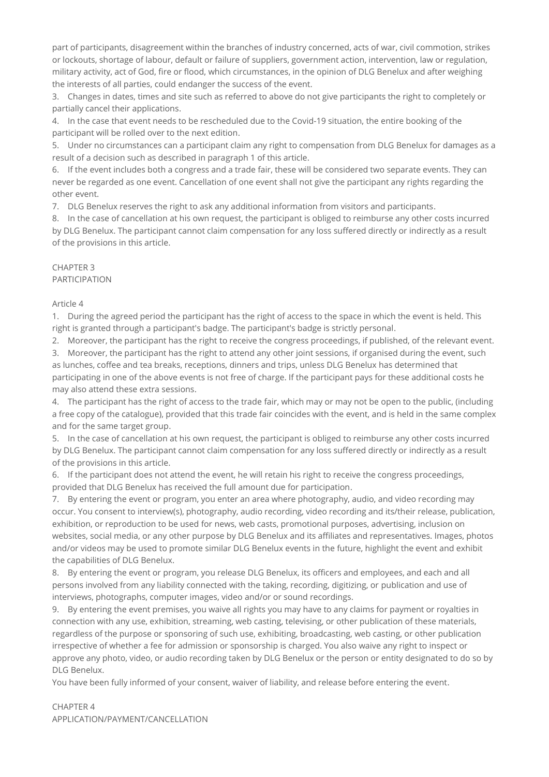part of participants, disagreement within the branches of industry concerned, acts of war, civil commotion, strikes or lockouts, shortage of labour, default or failure of suppliers, government action, intervention, law or regulation, military activity, act of God, fire or flood, which circumstances, in the opinion of DLG Benelux and after weighing the interests of all parties, could endanger the success of the event.

3. Changes in dates, times and site such as referred to above do not give participants the right to completely or partially cancel their applications.

4. In the case that event needs to be rescheduled due to the Covid-19 situation, the entire booking of the participant will be rolled over to the next edition.

5. Under no circumstances can a participant claim any right to compensation from DLG Benelux for damages as a result of a decision such as described in paragraph 1 of this article.

6. If the event includes both a congress and a trade fair, these will be considered two separate events. They can never be regarded as one event. Cancellation of one event shall not give the participant any rights regarding the other event.

7. DLG Benelux reserves the right to ask any additional information from visitors and participants.

8. In the case of cancellation at his own request, the participant is obliged to reimburse any other costs incurred by DLG Benelux. The participant cannot claim compensation for any loss suffered directly or indirectly as a result of the provisions in this article.

#### CHAPTER 3 PARTICIPATION

Article 4

1. During the agreed period the participant has the right of access to the space in which the event is held. This right is granted through a participant's badge. The participant's badge is strictly personal.

2. Moreover, the participant has the right to receive the congress proceedings, if published, of the relevant event.

3. Moreover, the participant has the right to attend any other joint sessions, if organised during the event, such as lunches, coffee and tea breaks, receptions, dinners and trips, unless DLG Benelux has determined that participating in one of the above events is not free of charge. If the participant pays for these additional costs he may also attend these extra sessions.

4. The participant has the right of access to the trade fair, which may or may not be open to the public, (including a free copy of the catalogue), provided that this trade fair coincides with the event, and is held in the same complex and for the same target group.

5. In the case of cancellation at his own request, the participant is obliged to reimburse any other costs incurred by DLG Benelux. The participant cannot claim compensation for any loss suffered directly or indirectly as a result of the provisions in this article.

6. If the participant does not attend the event, he will retain his right to receive the congress proceedings, provided that DLG Benelux has received the full amount due for participation.

7. By entering the event or program, you enter an area where photography, audio, and video recording may occur. You consent to interview(s), photography, audio recording, video recording and its/their release, publication, exhibition, or reproduction to be used for news, web casts, promotional purposes, advertising, inclusion on websites, social media, or any other purpose by DLG Benelux and its affiliates and representatives. Images, photos and/or videos may be used to promote similar DLG Benelux events in the future, highlight the event and exhibit the capabilities of DLG Benelux.

8. By entering the event or program, you release DLG Benelux, its officers and employees, and each and all persons involved from any liability connected with the taking, recording, digitizing, or publication and use of interviews, photographs, computer images, video and/or or sound recordings.

9. By entering the event premises, you waive all rights you may have to any claims for payment or royalties in connection with any use, exhibition, streaming, web casting, televising, or other publication of these materials, regardless of the purpose or sponsoring of such use, exhibiting, broadcasting, web casting, or other publication irrespective of whether a fee for admission or sponsorship is charged. You also waive any right to inspect or approve any photo, video, or audio recording taken by DLG Benelux or the person or entity designated to do so by DLG Benelux.

You have been fully informed of your consent, waiver of liability, and release before entering the event.

# CHAPTER 4 APPLICATION/PAYMENT/CANCELLATION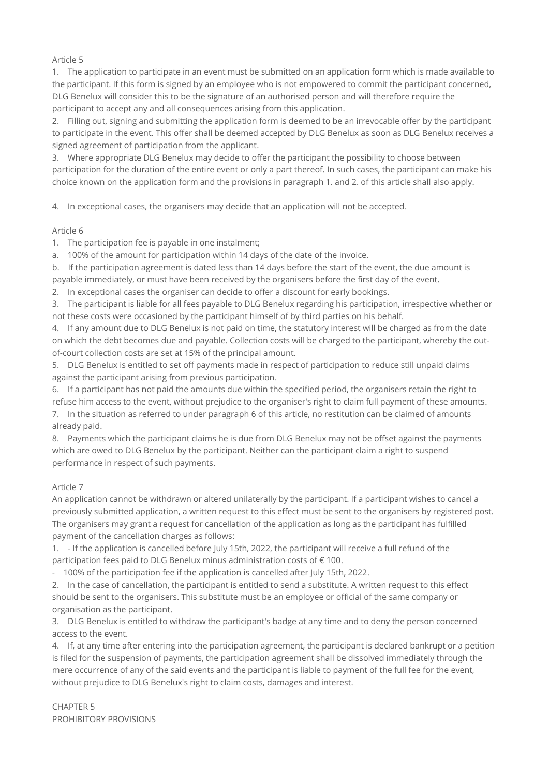Article 5

1. The application to participate in an event must be submitted on an application form which is made available to the participant. If this form is signed by an employee who is not empowered to commit the participant concerned, DLG Benelux will consider this to be the signature of an authorised person and will therefore require the participant to accept any and all consequences arising from this application.

2. Filling out, signing and submitting the application form is deemed to be an irrevocable offer by the participant to participate in the event. This offer shall be deemed accepted by DLG Benelux as soon as DLG Benelux receives a signed agreement of participation from the applicant.

3. Where appropriate DLG Benelux may decide to offer the participant the possibility to choose between participation for the duration of the entire event or only a part thereof. In such cases, the participant can make his choice known on the application form and the provisions in paragraph 1. and 2. of this article shall also apply.

4. In exceptional cases, the organisers may decide that an application will not be accepted.

### Article 6

1. The participation fee is payable in one instalment;

a. 100% of the amount for participation within 14 days of the date of the invoice.

b. If the participation agreement is dated less than 14 days before the start of the event, the due amount is payable immediately, or must have been received by the organisers before the first day of the event.

2. In exceptional cases the organiser can decide to offer a discount for early bookings.

3. The participant is liable for all fees payable to DLG Benelux regarding his participation, irrespective whether or not these costs were occasioned by the participant himself of by third parties on his behalf.

4. If any amount due to DLG Benelux is not paid on time, the statutory interest will be charged as from the date on which the debt becomes due and payable. Collection costs will be charged to the participant, whereby the outof-court collection costs are set at 15% of the principal amount.

5. DLG Benelux is entitled to set off payments made in respect of participation to reduce still unpaid claims against the participant arising from previous participation.

6. If a participant has not paid the amounts due within the specified period, the organisers retain the right to refuse him access to the event, without prejudice to the organiser's right to claim full payment of these amounts. 7. In the situation as referred to under paragraph 6 of this article, no restitution can be claimed of amounts

already paid.

8. Payments which the participant claims he is due from DLG Benelux may not be offset against the payments which are owed to DLG Benelux by the participant. Neither can the participant claim a right to suspend performance in respect of such payments.

# Article 7

An application cannot be withdrawn or altered unilaterally by the participant. If a participant wishes to cancel a previously submitted application, a written request to this effect must be sent to the organisers by registered post. The organisers may grant a request for cancellation of the application as long as the participant has fulfilled payment of the cancellation charges as follows:

1. - If the application is cancelled before July 15th, 2022, the participant will receive a full refund of the participation fees paid to DLG Benelux minus administration costs of € 100.

- 100% of the participation fee if the application is cancelled after July 15th, 2022.

2. In the case of cancellation, the participant is entitled to send a substitute. A written request to this effect should be sent to the organisers. This substitute must be an employee or official of the same company or organisation as the participant.

3. DLG Benelux is entitled to withdraw the participant's badge at any time and to deny the person concerned access to the event.

4. If, at any time after entering into the participation agreement, the participant is declared bankrupt or a petition is filed for the suspension of payments, the participation agreement shall be dissolved immediately through the mere occurrence of any of the said events and the participant is liable to payment of the full fee for the event, without prejudice to DLG Benelux's right to claim costs, damages and interest.

CHAPTER 5 PROHIBITORY PROVISIONS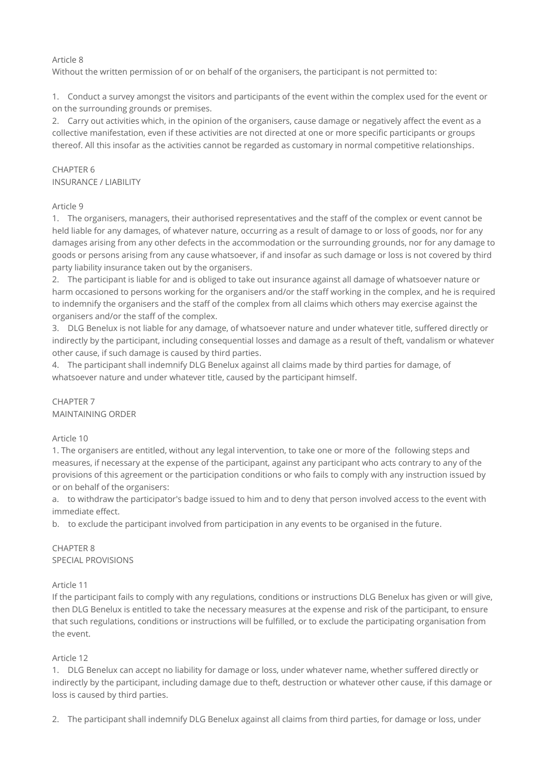### Article 8

Without the written permission of or on behalf of the organisers, the participant is not permitted to:

1. Conduct a survey amongst the visitors and participants of the event within the complex used for the event or on the surrounding grounds or premises.

2. Carry out activities which, in the opinion of the organisers, cause damage or negatively affect the event as a collective manifestation, even if these activities are not directed at one or more specific participants or groups thereof. All this insofar as the activities cannot be regarded as customary in normal competitive relationships.

### CHAPTER 6 INSURANCE / LIABILITY

### Article 9

1. The organisers, managers, their authorised representatives and the staff of the complex or event cannot be held liable for any damages, of whatever nature, occurring as a result of damage to or loss of goods, nor for any damages arising from any other defects in the accommodation or the surrounding grounds, nor for any damage to goods or persons arising from any cause whatsoever, if and insofar as such damage or loss is not covered by third party liability insurance taken out by the organisers.

2. The participant is liable for and is obliged to take out insurance against all damage of whatsoever nature or harm occasioned to persons working for the organisers and/or the staff working in the complex, and he is required to indemnify the organisers and the staff of the complex from all claims which others may exercise against the organisers and/or the staff of the complex.

3. DLG Benelux is not liable for any damage, of whatsoever nature and under whatever title, suffered directly or indirectly by the participant, including consequential losses and damage as a result of theft, vandalism or whatever other cause, if such damage is caused by third parties.

4. The participant shall indemnify DLG Benelux against all claims made by third parties for damage, of whatsoever nature and under whatever title, caused by the participant himself.

#### CHAPTER 7 MAINTAINING ORDER

# Article 10

1. The organisers are entitled, without any legal intervention, to take one or more of the following steps and measures, if necessary at the expense of the participant, against any participant who acts contrary to any of the provisions of this agreement or the participation conditions or who fails to comply with any instruction issued by or on behalf of the organisers:

a. to withdraw the participator's badge issued to him and to deny that person involved access to the event with immediate effect.

b. to exclude the participant involved from participation in any events to be organised in the future.

### CHAPTER 8 SPECIAL PROVISIONS

### Article 11

If the participant fails to comply with any regulations, conditions or instructions DLG Benelux has given or will give, then DLG Benelux is entitled to take the necessary measures at the expense and risk of the participant, to ensure that such regulations, conditions or instructions will be fulfilled, or to exclude the participating organisation from the event.

### Article 12

1. DLG Benelux can accept no liability for damage or loss, under whatever name, whether suffered directly or indirectly by the participant, including damage due to theft, destruction or whatever other cause, if this damage or loss is caused by third parties.

2. The participant shall indemnify DLG Benelux against all claims from third parties, for damage or loss, under